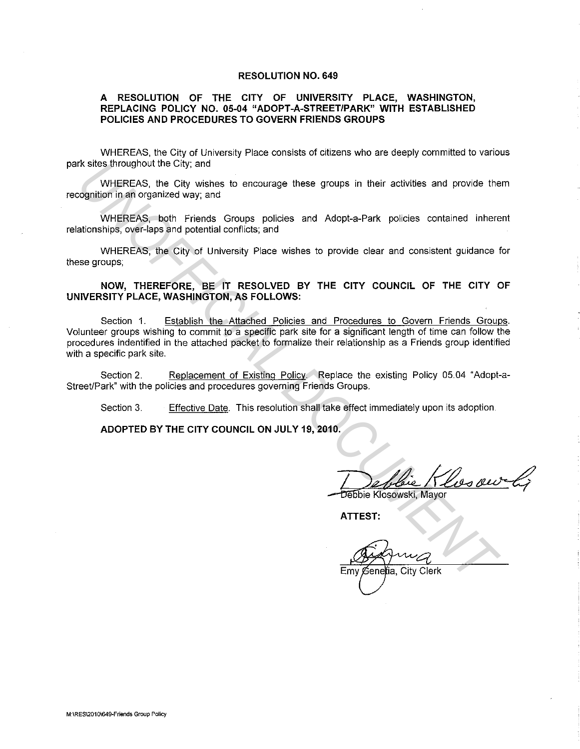#### **RESOLUTION NO. 649**

#### **A RESOLUTION OF THE CITY OF UNIVERSITY PLACE, WASHINGTON, REPLACING POLICY NO. 05-04 "ADOPT-A-STREET/PARK" WITH ESTABLISHED POLICIES AND PROCEDURES TO GOVERN FRIENDS GROUPS**

WHEREAS. the City of University Place consists of citizens who are deeply committed to various park sites throughout the City; and

WHEREAS, the City wishes to encourage these groups in their activities and provide them recognition in an organized way; and

WHEREAS, both Friends Groups policies and Adopt-a-Park policies contained inherent relationships, over-laps and potential conflicts; and

WHEREAS, the City of University Place wishes to provide clear and consistent guidance for these groups;

**NOW, THEREFORE, BE IT RESOLVED BY THE CITY COUNCIL OF THE CITY OF UNIVERSITY PLACE, WASHINGTON, AS FOLLOWS:** 

Section 1. Establish the Attached Policies and Procedures to Govern Friends Groups. Volunteer groups wishing to commit to a specific park site for a significant length of time can follow the procedures indentified in the attached packet to formalize their relationship as a Friends group identified with a specific park site. rx sites throughout the City; and<br>
WHEREAS, the City wishes to encourage these groups in their activities and provide the<br>
ognition in an organized way, and<br>
WHEREAS, both Friends Groups policies and Adopt-a-Park policies

Section 2. Replacement of Existing Policy. Replace the existing Policy 05.04 "Adopt-a-Street/Park" with the policies and procedures governing Friends Groups.

Section 3. Effective Date. This resolution shall take effect immediately upon its adoption.

**ADOPTED BY THE CITY COUNCIL ON JULY 19, 2010.** 

**ATTEST:**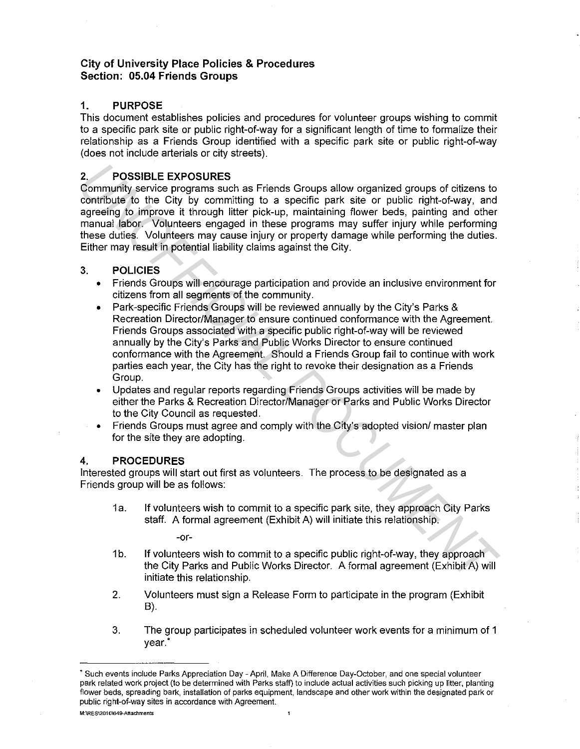## **City of University Place Policies & Procedures Section: 05.04 Friends Groups**

## **1. PURPOSE**

This document establishes policies and procedures for volunteer groups wishing to commit to a specific park site or public right-of-way for a significant length of time to formalize their relationship as a Friends Group identified with a specific park site or public right-of-way (does not include arterials or city streets).

## **2. POSSIBLE EXPOSURES**

Community service programs such as Friends Groups allow organized groups of citizens to contribute to the City by committing to a specific park site or public right-of-way, and agreeing to improve it through litter pick-up, maintaining flower beds, painting and other manual labor. Volunteers engaged in these programs may suffer injury while performing these duties. Volunteers may cause injury or property damage while performing the duties. Either may result in potential liability claims against the City.

## 3. **POLICIES**

- Friends Groups will encourage participation and provide an inclusive environment for citizens from all segments of the community.
- Park-specific Friends Groups will be reviewed annually by the City's Parks & Recreation Director/Manager to ensure continued conformance with the Agreement. Friends Groups associated with a specific public right-of-way will be reviewed annually by the City's Parks and Public Works Director to ensure continued conformance with the Agreement. Should a Friends Group fail to continue with work parties each year, the City has the right to revoke their designation as a Friends Group. 2. POSSIBLE EXPOSURES<br>
Community service programs and as Friends Groups allow organized groups of citizens to<br>
Contribute fo the City by committing to a specific park site or public right-of-way, and<br>
agreeing to improve i
	- Updates and regular reports regarding Friends Groups activities will be made by either the Parks & Recreation Director/Manager or Parks and Public Works Director to the City Council as requested.
	- Friends Groups must agree and comply with the City's adopted vision/ master plan for the site they are adopting.

### **4. PROCEDURES**

Interested groups will start out first as volunteers. The process to be designated as a Friends group will be as follows:

1a. If volunteers wish to commit to a specific park site, they approach City Parks staff. A formal agreement (Exhibit A) will initiate this relationship.

-or-

- 1b. If volunteers wish to commit to a specific public right-of-way, they approach the City Parks and Public Works Director. A formal agreement (Exhibit A) will initiate this relationship.
- 2. Volunteers must sign a Release Form to participate in the program (Exhibit B).
- 3. The group participates in scheduled volunteer work events for a minimum of 1 year.'

 $\overline{1}$ 

<sup>\*</sup> **Such events include Parks Appreciation Day - April, Make A Difference Day-October, and one special volunteer park related work project (to be determined with Parks staff) to include actual activities such picking up litter, planting flower beds, spreading bark, installation of parks equipment, landscape and other work within the designated park or public right-of-way sites in accordance with Agreement.**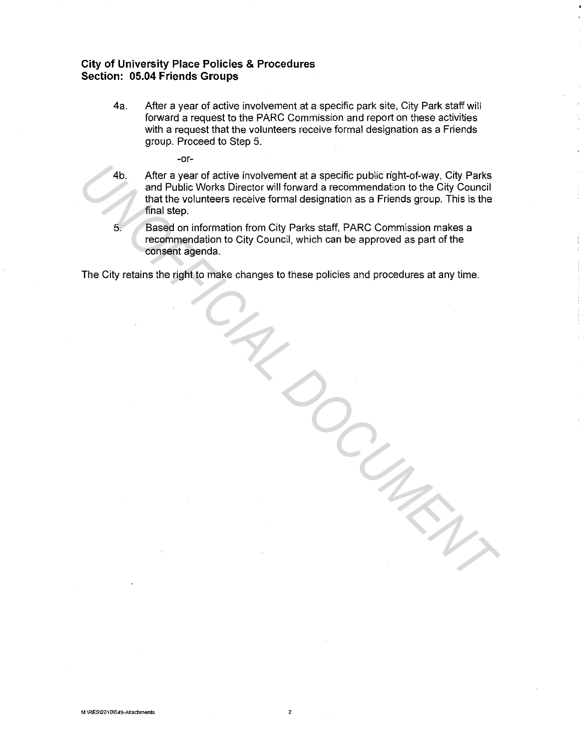## **City of University Place Policies & Procedures Section: 05.04 Friends Groups**

- 4a. After a year of active involvement at a specific park site, City Park staff will forward a request to the PARC Commission and report on these activities with a request that the volunteers receive formal designation as a Friends group. Proceed to Step 5.
	- -or-

4b. After a year of active involvement at a specific public right-of-way, City Parks and Public Works Director will forward a recommendation to the City Council that the volunteers receive formal designation as a Friends group. This is the final step. Ab. After a year of active involvement at a specific public right-of-way. City Parks<br>
and Public Works Director will forward a recommendation to the City Council<br>
that the volumeters receive formal designation as a Friends

5. Based on information from City Parks staff, PARC Commission makes a recommendation to City Council, which can be approved as part of the consent agenda.

The City retains the right to make changes to these policies and procedures at any time.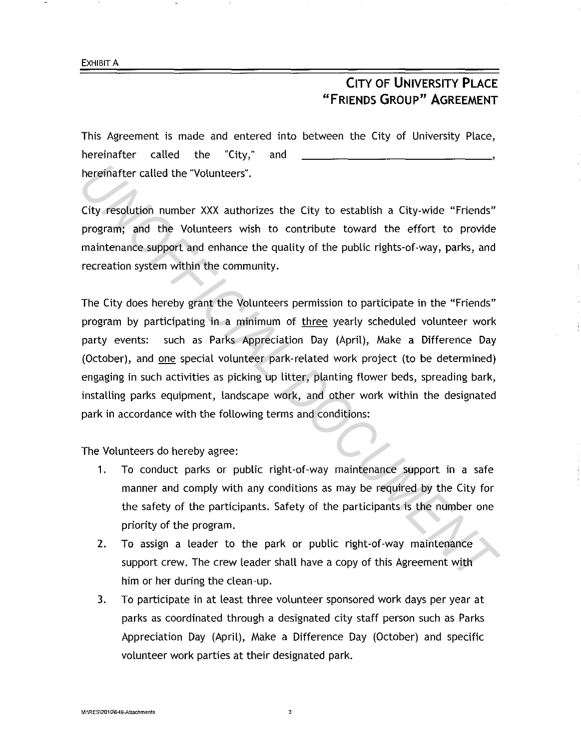# **CITY OF UNIVERSITY PLACE "FRIENDS GROUP" AGREEMENT**

This Agreement is made and entered into between the City of University Place, hereinafter called the "City," and hereinafter called the "Volunteers".

City resolution number XXX authorizes the City to establish a City-wide "Friends" program; and the Volunteers wish to contribute toward the effort to provide maintenance support and enhance the quality of the public rights-of-way, parks, and recreation system within the community.

The City does hereby grant the Volunteers permission to participate in the "Friends" program by participating in a minimum of three yearly scheduled volunteer work party events: such as Parks Appreciation Day (April), Make a Difference Day (October), and one special volunteer park-related work project (to be determined) engaging in such activities as picking up litter, planting flower beds, spreading bark, installing parks equipment, landscape work, and other work within the designated park in accordance with the following terms and conditions: **Example 12** The "Volunteers".<br>
City resolution number XXX authorizes the City to establish a City-wide "Friends"<br>
program; and the Volunteers wish to contribute toward the effort to provide<br>
maintenance support and enhanc

The Volunteers do hereby agree:

- 1. To conduct parks or public right-of-way maintenance support in a safe manner and comply with any conditions as may be required by the City for the safety of the participants. Safety of the participants is the number one priority of the program.
- 2. To assign a leader to the park or public right-of-way maintenance support crew. The crew leader shall have a copy of this Agreement with him or her during the clean-up.
- 3. To participate in at least three volunteer sponsored work days per year at parks as coordinated through a designated city staff person such as Parks Appreciation Day (April), Make a Difference Day (October) and specific volunteer work parties at their designated park.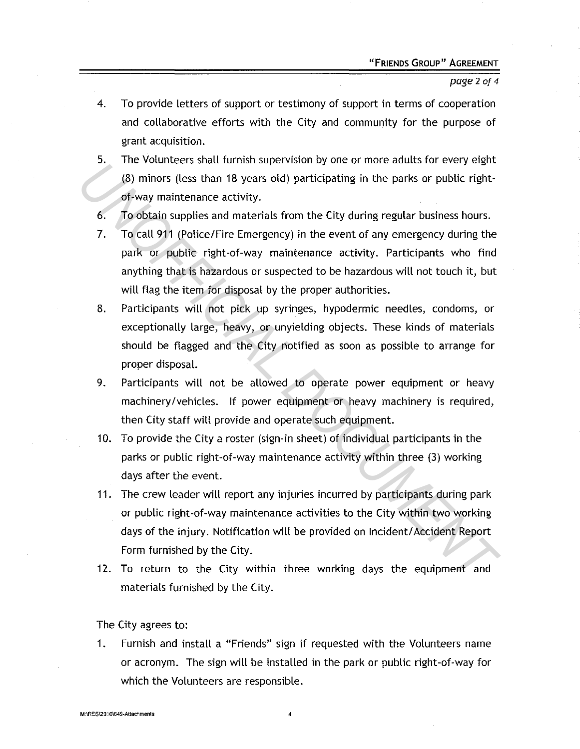#### page 2 of *4*

- 4. To provide letters of support or testimony of support in terms of cooperation and collaborative efforts with the City and community for the purpose of grant acquisition.
- 5. The Volunteers shall furnish supervision by one or more adults for every eight (8) minors (less than 18 years old) participating in the parks or public rightof-way maintenance activity.
- 6. To obtain supplies and materials from the City during regular business hours.
- 7. To call 911 (Police/Fire Emergency) in the event of any emergency during the park or public right-of-way maintenance activity. Participants who find anything that is hazardous or suspected to be hazardous will not touch it, but will flag the item for disposal by the proper authorities.
- 8. Participants will not pick up syringes, hypodermic needles, condoms, or exceptionally large, heavy, or unyielding objects. These kinds of materials should be flagged and the City notified as soon as possible to arrange for proper disposal. *US* Intervention of the Date of the City stellar of the City original control of the parks of public right-<br> *U*S) minors (less than 18 years old) participating in the parks or public right-<br>
of-way maintenance activity.<br>
	- 9. Participants will not be allowed to operate power equipment or heavy machinery /vehicles. If power equipment or heavy machinery is required, then City staff will provide and operate such equipment.
	- 10. To provide the City a roster (sign-in sheet) of individual participants in the parks or public right-of-way maintenance activity within three (3) working days after the event.
	- 11. The crew leader will report any injuries incurred by participants during park or public right-of-way maintenance activities to the City within two working days of the injury. Notification will be provided on Incident/ Accident Report Form furnished by the City.
	- 12. To return to the City within three working days the equipment and materials furnished by the City.

The City agrees to:

1. Furnish and install a "Friends" sign if requested with the Volunteers name or acronym. The sign will be installed in the park or public right-of-way for which the Volunteers are responsible.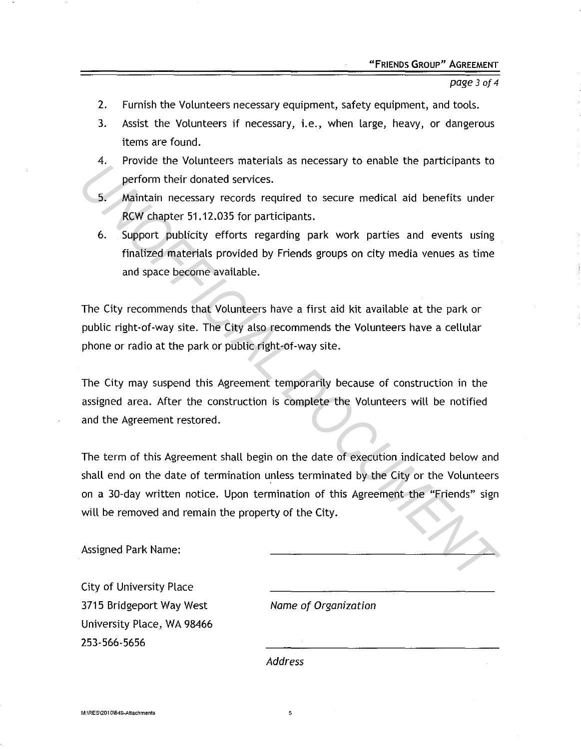page 3 of 4

- 2. Furnish the Volunteers necessary equipment, safety equipment, and tools.
- 3. Assist the Volunteers if necessary, i.e., when large, heavy, or dangerous items are found.
- 4. Provide the Volunteers materials as necessary to enable the participants to perform their donated services.
- 5. Maintain necessary records required to secure medical aid benefits under RCW chapter 51.12.035 for participants.
- 6. Support publicity efforts regarding park work parties and events using finalized materials provided by Friends groups on city media venues as time and space become available.

The City recommends that Volunteers have a first aid kit available at the park or public right-of-way site. The City also recommends the Volunteers have a cellular phone or radio at the park or public right-of-way site.

The City may suspend this Agreement temporarily because of construction in the assigned area. After the construction is complete the Volunteers will be notified and the Agreement restored.

The term of this Agreement shall begin on the date of execution indicated below and shall end on the date of termination unless terminated by the City or the Volunteers on a 30-day written notice. Upon termination of this Agreement the "Friends" sign will be removed and remain the property of the City. **Example 10** and the detection and inclusion of this Agreement for the terminal of the current of the current of the support publicity efforts regarding park work parties and events using finalized materials provided by Fr

Assigned Park Name:

City of University Place 3715 Bridgeport Way West University Place, WA 98466 253-566-5656

Name of Organization

Address

5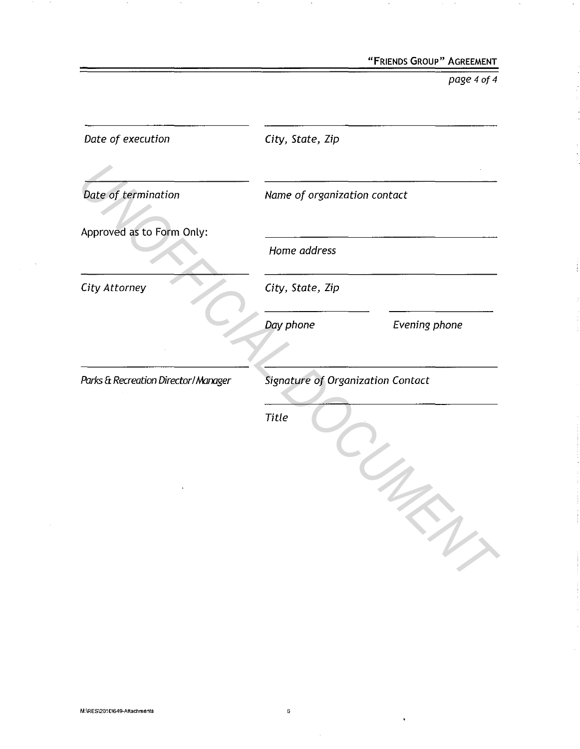"FRIENDS GROUP" AGREEMENT

page 4 of 4

 $\sim$ 

| Date of execution                   | City, State, Zip                                  |
|-------------------------------------|---------------------------------------------------|
| Date of termination                 | Name of organization contact                      |
| Approved as to Form Only:           | Home address                                      |
| City Attorney                       | City, State, Zip                                  |
|                                     | Day phone<br>Evening phone                        |
| Parks & Recreation Director/Manager | Signature of Organization Contact<br><b>Title</b> |
|                                     |                                                   |

 $\sim$ 

 $\sim$ 

 $\sim$ 

 $\sim$ 

 $\sim$ 

 $\hat{\boldsymbol{\theta}}$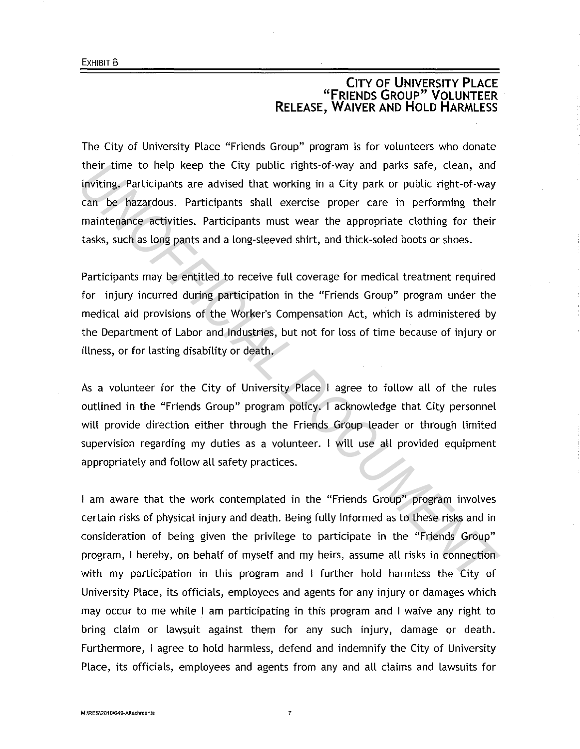# **CITY OF UNIVERSITY PLACE "FRIENDS GROUP" VOLUNTEER RELEASE, WAIVER AND HOLD HARMLESS**

The City of University Place "Friends Group" program is for volunteers who donate their time to help keep the City public rights-of-way and parks safe, clean, and inviting. Participants are advised that working in a City park or public right-of-way can be hazardous. Participants shall exercise proper care in performing their maintenance activities. Participants must wear the appropriate clothing for their tasks, such as long pants and a long-sleeved shirt, and thick-soled boots or shoes.

Participants may be entitled to receive full coverage for medical treatment required for injury incurred during participation in the "Friends Group" program under the medical aid provisions of the Worker's Compensation Act, which is administered by the Department of Labor and Industries, but not for loss of time because of injury or illness, or for lasting disability or death.

As a volunteer for the City of University Place I agree to follow all of the rules outlined in the "Friends Group" program policy. I acknowledge that City personnel will provide direction either through the Friends Group leader or through limited supervision regarding my duties as a volunteer. I will use all provided equipment appropriately and follow all safety practices.

I am aware that the work contemplated in the "Friends Group" program involves certain risks of physical injury and death. Being fully informed as to these risks and in consideration of being given the privilege to participate in the "Friends Group" program, I hereby, on behalf of myself and my heirs, assume all risks in connection with my participation in this program and I further hold harmless the City of University Place, its officials, employees and agents for any injury or damages which may occur to me while I am participating in this program and I waive any right to bring claim or lawsuit against them for any such injury, damage or death. Furthermore, I agree to hold harmless, defend and indemnify the City of University Place, its officials, employees and agents from any and all claims and lawsuits for *Unitarial the Single Engrifier Softway and parks safe, clean, and inviting, Participants are divised that working in a City park or public right of way in a City park or public right of way in the brazardous. Participants*